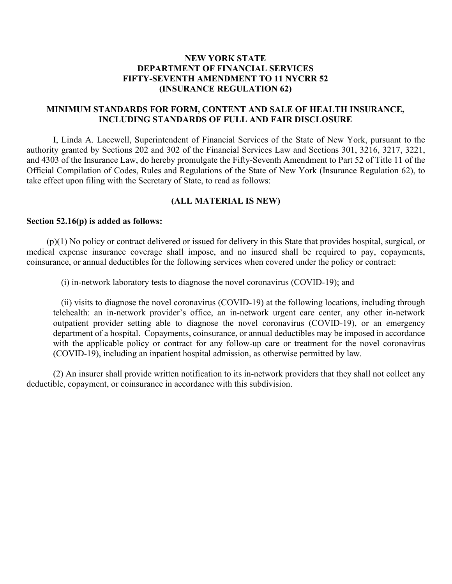## **NEW YORK STATE DEPARTMENT OF FINANCIAL SERVICES FIFTY-SEVENTH AMENDMENT TO 11 NYCRR 52 (INSURANCE REGULATION 62)**

## **MINIMUM STANDARDS FOR FORM, CONTENT AND SALE OF HEALTH INSURANCE, INCLUDING STANDARDS OF FULL AND FAIR DISCLOSURE**

I, Linda A. Lacewell, Superintendent of Financial Services of the State of New York, pursuant to the authority granted by Sections 202 and 302 of the Financial Services Law and Sections 301, 3216, 3217, 3221, and 4303 of the Insurance Law, do hereby promulgate the Fifty-Seventh Amendment to Part 52 of Title 11 of the Official Compilation of Codes, Rules and Regulations of the State of New York (Insurance Regulation 62), to take effect upon filing with the Secretary of State, to read as follows:

### **(ALL MATERIAL IS NEW)**

#### **Section 52.16(p) is added as follows:**

(p)(1) No policy or contract delivered or issued for delivery in this State that provides hospital, surgical, or medical expense insurance coverage shall impose, and no insured shall be required to pay, copayments, coinsurance, or annual deductibles for the following services when covered under the policy or contract:

(i) in-network laboratory tests to diagnose the novel coronavirus (COVID-19); and

(ii) visits to diagnose the novel coronavirus (COVID-19) at the following locations, including through telehealth: an in-network provider's office, an in-network urgent care center, any other in-network outpatient provider setting able to diagnose the novel coronavirus (COVID-19), or an emergency department of a hospital. Copayments, coinsurance, or annual deductibles may be imposed in accordance with the applicable policy or contract for any follow-up care or treatment for the novel coronavirus (COVID-19), including an inpatient hospital admission, as otherwise permitted by law.

(2) An insurer shall provide written notification to its in-network providers that they shall not collect any deductible, copayment, or coinsurance in accordance with this subdivision.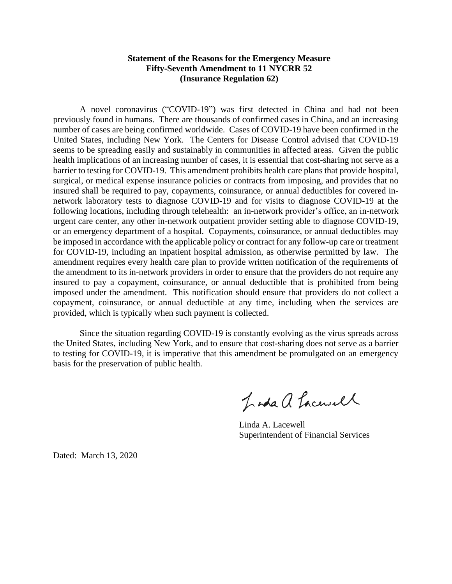## **Statement of the Reasons for the Emergency Measure Fifty-Seventh Amendment to 11 NYCRR 52 (Insurance Regulation 62)**

A novel coronavirus ("COVID-19") was first detected in China and had not been previously found in humans. There are thousands of confirmed cases in China, and an increasing number of cases are being confirmed worldwide. Cases of COVID-19 have been confirmed in the United States, including New York. The Centers for Disease Control advised that COVID-19 seems to be spreading easily and sustainably in communities in affected areas. Given the public health implications of an increasing number of cases, it is essential that cost-sharing not serve as a barrier to testing for COVID-19. This amendment prohibits health care plans that provide hospital, surgical, or medical expense insurance policies or contracts from imposing, and provides that no insured shall be required to pay, copayments, coinsurance, or annual deductibles for covered innetwork laboratory tests to diagnose COVID-19 and for visits to diagnose COVID-19 at the following locations, including through telehealth: an in-network provider's office, an in-network urgent care center, any other in-network outpatient provider setting able to diagnose COVID-19, or an emergency department of a hospital. Copayments, coinsurance, or annual deductibles may be imposed in accordance with the applicable policy or contract for any follow-up care or treatment for COVID-19, including an inpatient hospital admission, as otherwise permitted by law. The amendment requires every health care plan to provide written notification of the requirements of the amendment to its in-network providers in order to ensure that the providers do not require any insured to pay a copayment, coinsurance, or annual deductible that is prohibited from being imposed under the amendment. This notification should ensure that providers do not collect a copayment, coinsurance, or annual deductible at any time, including when the services are provided, which is typically when such payment is collected.

Since the situation regarding COVID-19 is constantly evolving as the virus spreads across the United States, including New York, and to ensure that cost-sharing does not serve as a barrier to testing for COVID-19, it is imperative that this amendment be promulgated on an emergency basis for the preservation of public health.

Inda a Lacusel

Linda A. Lacewell Superintendent of Financial Services

Dated: March 13, 2020